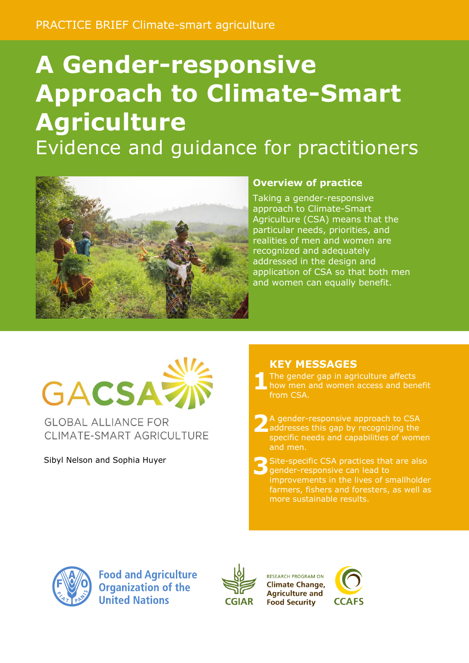# **A Gender-responsive Approach to Climate-Smart Agriculture** Evidence and guidance for practitioners



#### **Overview of practice**

Taking a gender-responsive approach to Climate-Smart Agriculture (CSA) means that the particular needs, priorities, and realities of men and women are recognized and adequately addressed in the design and application of CSA so that both men and women can equally benefit.

# GACSAZ

**GLOBAL ALLIANCE FOR** CLIMATE-SMART AGRICULTURE

Sibyl Nelson and Sophia Huyer

### **KEY MESSAGES**

**1** The gender gap in agriculture affects how men and women access and benefit from CSA.

**2** A gender-responsive approach to CSA addresses this gap by recognizing the specific needs and capabilities of women and men.

**3** Site-specific CSA practices that are also gender-responsive can lead to improvements in the lives of smallholder farmers, fishers and foresters, as well as more sustainable results.



**Food and Agriculture Organization of the United Nations** 



**RESEARCH PROGRAM ON Climate Change, Agriculture and Food Security** 

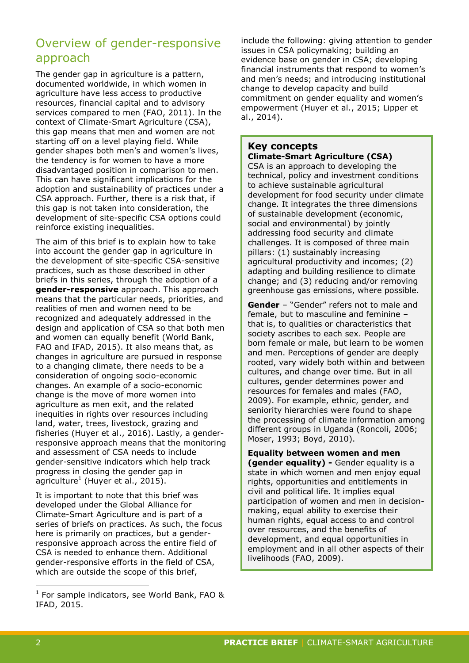# Overview of gender-responsive approach

The gender gap in agriculture is a pattern, documented worldwide, in which women in agriculture have less access to productive resources, financial capital and to advisory services compared to men (FAO, 2011). In the context of Climate-Smart Agriculture (CSA), this gap means that men and women are not starting off on a level playing field. While gender shapes both men's and women's lives, the tendency is for women to have a more disadvantaged position in comparison to men. This can have significant implications for the adoption and sustainability of practices under a CSA approach. Further, there is a risk that, if this gap is not taken into consideration, the development of site-specific CSA options could reinforce existing inequalities.

The aim of this brief is to explain how to take into account the gender gap in agriculture in the development of site-specific CSA-sensitive practices, such as those described in other briefs in this series, through the adoption of a **gender-responsive** approach. This approach means that the particular needs, priorities, and realities of men and women need to be recognized and adequately addressed in the design and application of CSA so that both men and women can equally benefit (World Bank, FAO and IFAD, 2015). It also means that, as changes in agriculture are pursued in response to a changing climate, there needs to be a consideration of ongoing socio-economic changes. An example of a socio-economic change is the move of more women into agriculture as men exit, and the related inequities in rights over resources including land, water, trees, livestock, grazing and fisheries (Huyer et al., 2016). Lastly, a genderresponsive approach means that the monitoring and assessment of CSA needs to include gender-sensitive indicators which help track progress in closing the gender gap in agriculture<sup>1</sup> (Huyer et al., 2015).

It is important to note that this brief was developed under the Global Alliance for Climate-Smart Agriculture and is part of a series of briefs on practices. As such, the focus here is primarily on practices, but a genderresponsive approach across the entire field of CSA is needed to enhance them. Additional gender-responsive efforts in the field of CSA, which are outside the scope of this brief,

include the following: giving attention to gender issues in CSA policymaking; building an evidence base on gender in CSA; developing financial instruments that respond to women's and men's needs; and introducing institutional change to develop capacity and build commitment on gender equality and women's empowerment (Huyer et al., 2015; Lipper et al., 2014).

## **Key concepts**

**Climate-Smart Agriculture (CSA)**

CSA is an approach to developing the technical, policy and investment conditions to achieve sustainable agricultural development for food security under climate change. It integrates the three dimensions of sustainable development (economic, social and environmental) by jointly addressing food security and climate challenges. It is composed of three main pillars: (1) sustainably increasing agricultural productivity and incomes; (2) adapting and building resilience to climate change; and (3) reducing and/or removing greenhouse gas emissions, where possible.

**Gender** – "Gender" refers not to male and female, but to masculine and feminine – that is, to qualities or characteristics that society ascribes to each sex. People are born female or male, but learn to be women and men. Perceptions of gender are deeply rooted, vary widely both within and between cultures, and change over time. But in all cultures, gender determines power and resources for females and males (FAO, 2009). For example, ethnic, gender, and seniority hierarchies were found to shape the processing of climate information among different groups in Uganda (Roncoli, 2006; Moser, 1993; Boyd, 2010).

#### **Equality between women and men**

**(gender equality) -** Gender equality is a state in which women and men enjoy equal rights, opportunities and entitlements in civil and political life. It implies equal participation of women and men in decisionmaking, equal ability to exercise their human rights, equal access to and control over resources, and the benefits of development, and equal opportunities in employment and in all other aspects of their livelihoods (FAO, 2009).

-

<sup>&</sup>lt;sup>1</sup> For sample indicators, see World Bank, FAO & IFAD, 2015.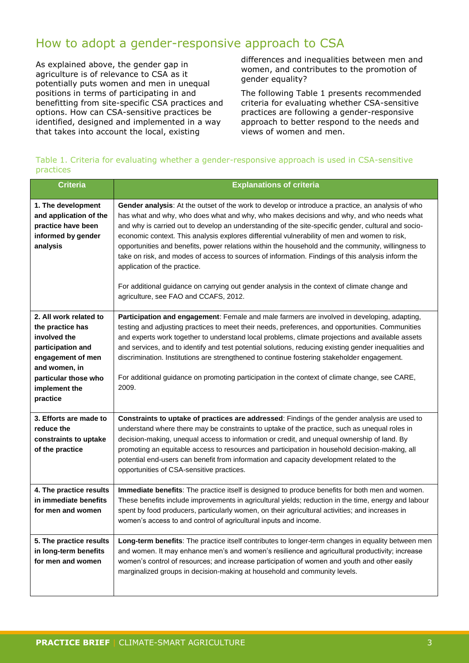# How to adopt a gender-responsive approach to CSA

As explained above, the gender gap in agriculture is of relevance to CSA as it potentially puts women and men in unequal positions in terms of participating in and benefitting from site-specific CSA practices and options. How can CSA-sensitive practices be identified, designed and implemented in a way that takes into account the local, existing

differences and inequalities between men and women, and contributes to the promotion of gender equality?

The following Table 1 presents recommended criteria for evaluating whether CSA-sensitive practices are following a gender-responsive approach to better respond to the needs and views of women and men.

Table 1. Criteria for evaluating whether a gender-responsive approach is used in CSA-sensitive practices

| <b>Criteria</b>                                                                                                                                                            | <b>Explanations of criteria</b>                                                                                                                                                                                                                                                                                                                                                                                                                                                                                                                                                                                                                                                                                                                                                           |  |  |  |  |  |
|----------------------------------------------------------------------------------------------------------------------------------------------------------------------------|-------------------------------------------------------------------------------------------------------------------------------------------------------------------------------------------------------------------------------------------------------------------------------------------------------------------------------------------------------------------------------------------------------------------------------------------------------------------------------------------------------------------------------------------------------------------------------------------------------------------------------------------------------------------------------------------------------------------------------------------------------------------------------------------|--|--|--|--|--|
| 1. The development<br>and application of the<br>practice have been<br>informed by gender<br>analysis                                                                       | Gender analysis: At the outset of the work to develop or introduce a practice, an analysis of who<br>has what and why, who does what and why, who makes decisions and why, and who needs what<br>and why is carried out to develop an understanding of the site-specific gender, cultural and socio-<br>economic context. This analysis explores differential vulnerability of men and women to risk,<br>opportunities and benefits, power relations within the household and the community, willingness to<br>take on risk, and modes of access to sources of information. Findings of this analysis inform the<br>application of the practice.<br>For additional guidance on carrying out gender analysis in the context of climate change and<br>agriculture, see FAO and CCAFS, 2012. |  |  |  |  |  |
| 2. All work related to<br>the practice has<br>involved the<br>participation and<br>engagement of men<br>and women, in<br>particular those who<br>implement the<br>practice | Participation and engagement: Female and male farmers are involved in developing, adapting,<br>testing and adjusting practices to meet their needs, preferences, and opportunities. Communities<br>and experts work together to understand local problems, climate projections and available assets<br>and services, and to identify and test potential solutions, reducing existing gender inequalities and<br>discrimination. Institutions are strengthened to continue fostering stakeholder engagement.<br>For additional guidance on promoting participation in the context of climate change, see CARE,<br>2009.                                                                                                                                                                    |  |  |  |  |  |
| 3. Efforts are made to<br>reduce the<br>constraints to uptake<br>of the practice                                                                                           | Constraints to uptake of practices are addressed: Findings of the gender analysis are used to<br>understand where there may be constraints to uptake of the practice, such as unequal roles in<br>decision-making, unequal access to information or credit, and unequal ownership of land. By<br>promoting an equitable access to resources and participation in household decision-making, all<br>potential end-users can benefit from information and capacity development related to the<br>opportunities of CSA-sensitive practices.                                                                                                                                                                                                                                                  |  |  |  |  |  |
| 4. The practice results<br>in immediate benefits<br>for men and women                                                                                                      | Immediate benefits: The practice itself is designed to produce benefits for both men and women.<br>These benefits include improvements in agricultural yields; reduction in the time, energy and labour<br>spent by food producers, particularly women, on their agricultural activities; and increases in<br>women's access to and control of agricultural inputs and income.                                                                                                                                                                                                                                                                                                                                                                                                            |  |  |  |  |  |
| 5. The practice results<br>in long-term benefits<br>for men and women                                                                                                      | Long-term benefits: The practice itself contributes to longer-term changes in equality between men<br>and women. It may enhance men's and women's resilience and agricultural productivity; increase<br>women's control of resources; and increase participation of women and youth and other easily<br>marginalized groups in decision-making at household and community levels.                                                                                                                                                                                                                                                                                                                                                                                                         |  |  |  |  |  |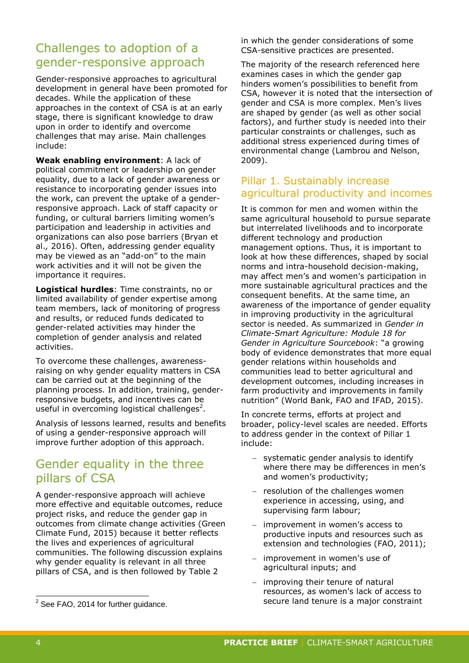# Challenges to adoption of a gender-responsive approach

Gender-responsive approaches to agricultural development in general have been promoted for decades. While the application of these approaches in the context of CSA is at an early stage, there is significant knowledge to draw upon in order to identify and overcome challenges that may arise. Main challenges include:

**Weak enabling environment**: A lack of political commitment or leadership on gender equality, due to a lack of gender awareness or resistance to incorporating gender issues into the work, can prevent the uptake of a genderresponsive approach. Lack of staff capacity or funding, or cultural barriers limiting women's participation and leadership in activities and organizations can also pose barriers (Bryan et al.*,* 2016). Often, addressing gender equality may be viewed as an "add-on" to the main work activities and it will not be given the importance it requires.

**Logistical hurdles**: Time constraints, no or limited availability of gender expertise among team members, lack of monitoring of progress and results, or reduced funds dedicated to gender-related activities may hinder the completion of gender analysis and related activities.

To overcome these challenges, awarenessraising on why gender equality matters in CSA can be carried out at the beginning of the planning process. In addition, training, genderresponsive budgets, and incentives can be useful in overcoming logistical challenges<sup>2</sup>.

Analysis of lessons learned, results and benefits of using a gender-responsive approach will improve further adoption of this approach.

# Gender equality in the three pillars of CSA

A gender-responsive approach will achieve more effective and equitable outcomes, reduce project risks, and reduce the gender gap in outcomes from climate change activities (Green Climate Fund, 2015) because it better reflects the lives and experiences of agricultural communities. The following discussion explains why gender equality is relevant in all three pillars of CSA, and is then followed by Table 2

in which the gender considerations of some CSA-sensitive practices are presented.

The majority of the research referenced here examines cases in which the gender gap hinders women's possibilities to benefit from CSA, however it is noted that the intersection of gender and CSA is more complex. Men's lives are shaped by gender (as well as other social factors), and further study is needed into their particular constraints or challenges, such as additional stress experienced during times of environmental change (Lambrou and Nelson, 2009).

#### Pillar 1. Sustainably increase agricultural productivity and incomes

It is common for men and women within the same agricultural household to pursue separate but interrelated livelihoods and to incorporate different technology and production management options. Thus, it is important to look at how these differences, shaped by social norms and intra-household decision-making, may affect men's and women's participation in more sustainable agricultural practices and the consequent benefits. At the same time, an awareness of the importance of gender equality in improving productivity in the agricultural sector is needed. As summarized in *Gender in Climate-Smart Agriculture: Module 18 for Gender in Agriculture Sourcebook*: "a growing body of evidence demonstrates that more equal gender relations within households and communities lead to better agricultural and development outcomes, including increases in farm productivity and improvements in family nutrition" (World Bank, FAO and IFAD, 2015).

In concrete terms, efforts at project and broader, policy-level scales are needed. Efforts to address gender in the context of Pillar 1 include:

- systematic gender analysis to identify where there may be differences in men's and women's productivity;
- resolution of the challenges women experience in accessing, using, and supervising farm labour;
- improvement in women's access to productive inputs and resources such as extension and technologies (FAO, 2011);
- improvement in women's use of agricultural inputs; and
- improving their tenure of natural resources, as women's lack of access to secure land tenure is a major constraint

 2 See FAO, 2014 for further guidance.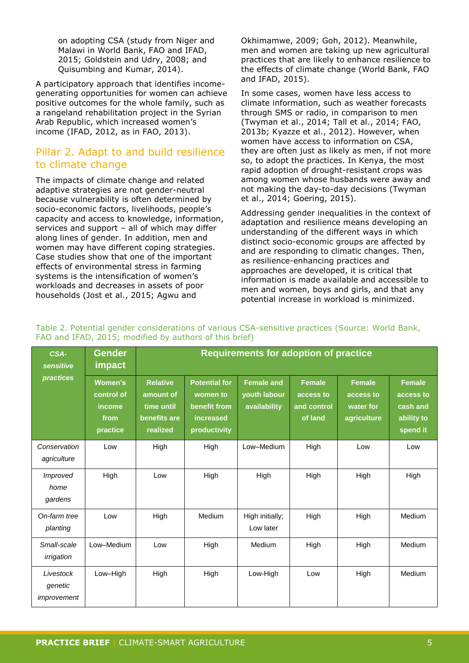on adopting CSA (study from Niger and Malawi in World Bank, FAO and IFAD, 2015; Goldstein and Udry, 2008; and Quisumbing and Kumar, 2014).

A participatory approach that identifies incomegenerating opportunities for women can achieve positive outcomes for the whole family, such as a rangeland rehabilitation project in the Syrian Arab Republic, which increased women's income (IFAD, 2012, as in FAO, 2013).

#### Pillar 2. Adapt to and build resilience to climate change

The impacts of climate change and related adaptive strategies are not gender-neutral because vulnerability is often determined by socio-economic factors, livelihoods, people's capacity and access to knowledge, information, services and support – all of which may differ along lines of gender. In addition, men and women may have different coping strategies. Case studies show that one of the important effects of environmental stress in farming systems is the intensification of women's workloads and decreases in assets of poor households (Jost et al., 2015; Agwu and

Okhimamwe, 2009; Goh, 2012). Meanwhile, men and women are taking up new agricultural practices that are likely to enhance resilience to the effects of climate change (World Bank, FAO and IFAD, 2015).

In some cases, women have less access to climate information, such as weather forecasts through SMS or radio, in comparison to men (Twyman et al., 2014; Tall et al., 2014; FAO, 2013b; Kyazze et al., 2012). However, when women have access to information on CSA, they are often just as likely as men, if not more so, to adopt the practices. In Kenya, the most rapid adoption of drought-resistant crops was among women whose husbands were away and not making the day-to-day decisions (Twyman et al., 2014; Goering, 2015).

Addressing gender inequalities in the context of adaptation and resilience means developing an understanding of the different ways in which distinct socio-economic groups are affected by and are responding to climatic changes. Then, as resilience-enhancing practices and approaches are developed, it is critical that information is made available and accessible to men and women, boys and girls, and that any potential increase in workload is minimized.

| CSA-<br>sensitive                   | Gender<br>impact                                           | <b>Requirements for adoption of practice</b>                           |                                                                               |                                                   |                                                      |                                                        |                                                                  |  |
|-------------------------------------|------------------------------------------------------------|------------------------------------------------------------------------|-------------------------------------------------------------------------------|---------------------------------------------------|------------------------------------------------------|--------------------------------------------------------|------------------------------------------------------------------|--|
| <b>practices</b>                    | <b>Women's</b><br>control of<br>income<br>from<br>practice | <b>Relative</b><br>amount of<br>time until<br>benefits are<br>realized | <b>Potential for</b><br>women to<br>benefit from<br>increased<br>productivity | <b>Female and</b><br>youth labour<br>availability | <b>Female</b><br>access to<br>and control<br>of land | <b>Female</b><br>access to<br>water for<br>agriculture | <b>Female</b><br>access to<br>cash and<br>ability to<br>spend it |  |
| Conservation<br>agriculture         | Low                                                        | High                                                                   | High                                                                          | Low-Medium                                        | High                                                 | Low                                                    | Low                                                              |  |
| Improved<br>home<br>gardens         | High                                                       | Low                                                                    | High                                                                          | High                                              | High                                                 | High                                                   | High                                                             |  |
| On-farm tree<br>planting            | Low                                                        | High                                                                   | Medium                                                                        | High initially;<br>Low later                      | High                                                 | High                                                   | Medium                                                           |  |
| Small-scale<br>irrigation           | Low-Medium                                                 | Low                                                                    | High                                                                          | Medium                                            | High                                                 | High                                                   | Medium                                                           |  |
| Livestock<br>genetic<br>improvement | Low-High                                                   | High                                                                   | High                                                                          | Low-High                                          | Low                                                  | High                                                   | Medium                                                           |  |

Table 2. Potential gender considerations of various CSA-sensitive practices (Source: World Bank, FAO and IFAD, 2015; modified by authors of this brief)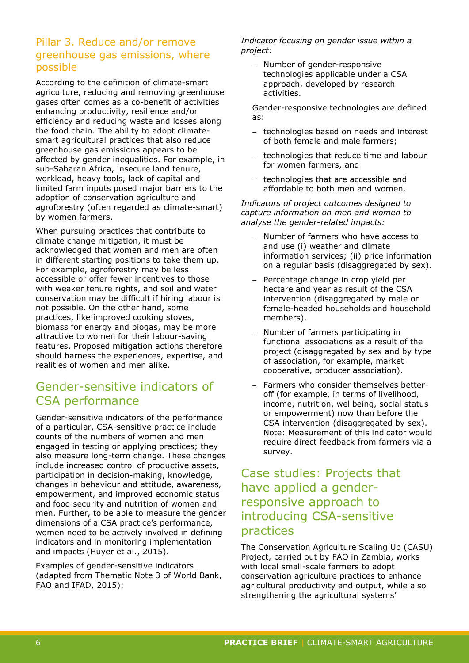#### Pillar 3. Reduce and/or remove greenhouse gas emissions, where possible

According to the definition of climate-smart agriculture, reducing and removing greenhouse gases often comes as a co-benefit of activities enhancing productivity, resilience and/or efficiency and reducing waste and losses along the food chain. The ability to adopt climatesmart agricultural practices that also reduce greenhouse gas emissions appears to be affected by gender inequalities. For example, in sub-Saharan Africa, insecure land tenure, workload, heavy tools, lack of capital and limited farm inputs posed major barriers to the adoption of conservation agriculture and agroforestry (often regarded as climate-smart) by women farmers.

When pursuing practices that contribute to climate change mitigation, it must be acknowledged that women and men are often in different starting positions to take them up. For example, agroforestry may be less accessible or offer fewer incentives to those with weaker tenure rights, and soil and water conservation may be difficult if hiring labour is not possible. On the other hand, some practices, like improved cooking stoves, biomass for energy and biogas, may be more attractive to women for their labour-saving features. Proposed mitigation actions therefore should harness the experiences, expertise, and realities of women and men alike.

# Gender-sensitive indicators of CSA performance

Gender-sensitive indicators of the performance of a particular, CSA-sensitive practice include counts of the numbers of women and men engaged in testing or applying practices; they also measure long-term change. These changes include increased control of productive assets, participation in decision-making, knowledge, changes in behaviour and attitude, awareness, empowerment, and improved economic status and food security and nutrition of women and men. Further, to be able to measure the gender dimensions of a CSA practice's performance, women need to be actively involved in defining indicators and in monitoring implementation and impacts (Huyer et al., 2015).

Examples of gender-sensitive indicators (adapted from Thematic Note 3 of World Bank, FAO and IFAD, 2015):

*Indicator focusing on gender issue within a project:* 

- Number of gender-responsive technologies applicable under a CSA approach, developed by research activities.

Gender-responsive technologies are defined as:

- technologies based on needs and interest of both female and male farmers;
- technologies that reduce time and labour for women farmers, and
- technologies that are accessible and affordable to both men and women.

*Indicators of project outcomes designed to capture information on men and women to analyse the gender-related impacts:*

- Number of farmers who have access to and use (i) weather and climate information services; (ii) price information on a regular basis (disaggregated by sex).
- $-$  Percentage change in crop yield per hectare and year as result of the CSA intervention (disaggregated by male or female-headed households and household members).
- Number of farmers participating in functional associations as a result of the project (disaggregated by sex and by type of association, for example, market cooperative, producer association).
- Farmers who consider themselves betteroff (for example, in terms of livelihood, income, nutrition, wellbeing, social status or empowerment) now than before the CSA intervention (disaggregated by sex). Note: Measurement of this indicator would require direct feedback from farmers via a survey.

# Case studies: Projects that have applied a genderresponsive approach to introducing CSA-sensitive practices

The Conservation Agriculture Scaling Up (CASU) Project, carried out by FAO in Zambia, works with local small-scale farmers to adopt conservation agriculture practices to enhance agricultural productivity and output, while also strengthening the agricultural systems'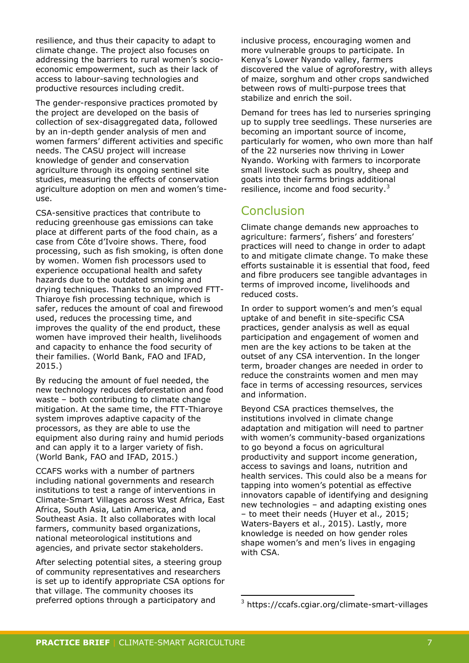resilience, and thus their capacity to adapt to climate change. The project also focuses on addressing the barriers to rural women's socioeconomic empowerment, such as their lack of access to labour-saving technologies and productive resources including credit.

The gender-responsive practices promoted by the project are developed on the basis of collection of sex-disaggregated data, followed by an in-depth gender analysis of men and women farmers' different activities and specific needs. The CASU project will increase knowledge of gender and conservation agriculture through its ongoing sentinel site studies, measuring the effects of conservation agriculture adoption on men and women's timeuse.

CSA-sensitive practices that contribute to reducing greenhouse gas emissions can take place at different parts of the food chain, as a case from Côte d'Ivoire shows. There, food processing, such as fish smoking, is often done by women. Women fish processors used to experience occupational health and safety hazards due to the outdated smoking and drying techniques. Thanks to an improved FTT-Thiaroye fish processing technique, which is safer, reduces the amount of coal and firewood used, reduces the processing time, and improves the quality of the end product, these women have improved their health, livelihoods and capacity to enhance the food security of their families. (World Bank, FAO and IFAD, 2015.)

By reducing the amount of fuel needed, the new technology reduces deforestation and food waste – both contributing to climate change mitigation. At the same time, the FTT-Thiaroye system improves adaptive capacity of the processors, as they are able to use the equipment also during rainy and humid periods and can apply it to a larger variety of fish. (World Bank, FAO and IFAD, 2015.)

CCAFS works with a number of partners including national governments and research institutions to test a range of interventions in Climate-Smart Villages across West Africa, East Africa, South Asia, Latin America, and Southeast Asia. It also collaborates with local farmers, community based organizations, national meteorological institutions and agencies, and private sector stakeholders.

After selecting potential sites, a steering group of community representatives and researchers is set up to identify appropriate CSA options for that village. The community chooses its preferred options through a participatory and

inclusive process, encouraging women and more vulnerable groups to participate. In Kenya's Lower Nyando valley, farmers discovered the value of agroforestry, with alleys of maize, sorghum and other crops sandwiched between rows of multi-purpose trees that stabilize and enrich the soil.

Demand for trees has led to nurseries springing up to supply tree seedlings. These nurseries are becoming an important source of income, particularly for women, who own more than half of the 22 nurseries now thriving in Lower Nyando. Working with farmers to incorporate small livestock such as poultry, sheep and goats into their farms brings additional resilience, income and food security. $3$ 

# **Conclusion**

Climate change demands new approaches to agriculture: farmers', fishers' and foresters' practices will need to change in order to adapt to and mitigate climate change. To make these efforts sustainable it is essential that food, feed and fibre producers see tangible advantages in terms of improved income, livelihoods and reduced costs.

In order to support women's and men's equal uptake of and benefit in site-specific CSA practices, gender analysis as well as equal participation and engagement of women and men are the key actions to be taken at the outset of any CSA intervention. In the longer term, broader changes are needed in order to reduce the constraints women and men may face in terms of accessing resources, services and information.

Beyond CSA practices themselves, the institutions involved in climate change adaptation and mitigation will need to partner with women's community-based organizations to go beyond a focus on agricultural productivity and support income generation, access to savings and loans, nutrition and health services. This could also be a means for tapping into women's potential as effective innovators capable of identifying and designing new technologies – and adapting existing ones – to meet their needs (Huyer et al.*,* 2015; Waters-Bayers et al., 2015). Lastly, more knowledge is needed on how gender roles shape women's and men's lives in engaging with CSA.

-

<sup>3</sup> https://ccafs.cgiar.org/climate-smart-villages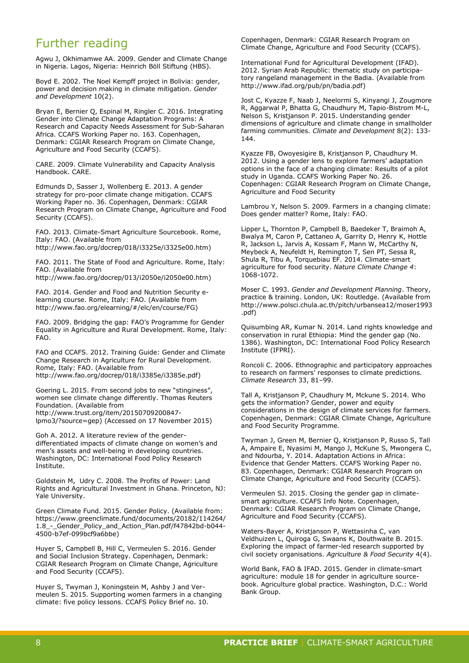# Further reading

Agwu J, Okhimamwe AA. 2009. Gender and Climate Change in Nigeria. Lagos, Nigeria: Heinrich Böll Stiftung (HBS).

Boyd E. 2002. The Noel Kempff project in Bolivia: gender, power and decision making in climate mitigation. *Gender and Development* 10(2).

Bryan E, Bernier Q, Espinal M, Ringler C. 2016. Integrating Gender into Climate Change Adaptation Programs: A Research and Capacity Needs Assessment for Sub-Saharan Africa. CCAFS Working Paper no. 163. Copenhagen, Denmark: CGIAR Research Program on Climate Change, Agriculture and Food Security (CCAFS).

CARE. 2009. Climate Vulnerability and Capacity Analysis Handbook. CARE.

Edmunds D, Sasser J, Wollenberg E. 2013. A gender strategy for pro-poor climate change mitigation. CCAFS Working Paper no. 36. Copenhagen, Denmark: CGIAR Research Program on Climate Change, Agriculture and Food Security (CCAFS).

FAO. 2013. Climate-Smart Agriculture Sourcebook. Rome, Italy: FAO. (Available from http://www.fao.org/docrep/018/i3325e/i3325e00.htm)

FAO. 2011. The State of Food and Agriculture. Rome, Italy: FAO. (Available from

http://www.fao.org/docrep/013/i2050e/i2050e00.htm)

FAO. 2014. Gender and Food and Nutrition Security elearning course. Rome, Italy: FAO. (Available from http://www.fao.org/elearning/#/elc/en/course/FG)

FAO. 2009. Bridging the gap: FAO's Programme for Gender Equality in Agriculture and Rural Development. Rome, Italy: FAO.

FAO and CCAFS. 2012. Training Guide: Gender and Climate Change Research in Agriculture for Rural Development. Rome, Italy: FAO. (Available from http://www.fao.org/docrep/018/i3385e/i3385e.pdf)

Goering L. 2015. From second jobs to new "stinginess", women see climate change differently. Thomas Reuters Foundation. (Available from http://www.trust.org/item/20150709200847 lpmo3/?source=gep) (Accessed on 17 November 2015)

Goh A. 2012. A literature review of the genderdifferentiated impacts of climate change on women's and men's assets and well-being in developing countries. Washington, DC: International Food Policy Research Institute.

Goldstein M, Udry C. 2008. The Profits of Power: Land Rights and Agricultural Investment in Ghana. Princeton, NJ: Yale University.

Green Climate Fund. 2015. Gender Policy. (Available from: https://www.greenclimate.fund/documents/20182/114264/ 1.8\_-\_Gender\_Policy\_and\_Action\_Plan.pdf/f47842bd-b044- 4500-b7ef-099bcf9a6bbe)

Huyer S, Campbell B, Hill C, Vermeulen S. 2016. Gender and Social Inclusion Strategy. Copenhagen, Denmark: CGIAR Research Program on Climate Change, Agriculture and Food Security (CCAFS).

Huyer S, Twyman J, Koningstein M, Ashby J and Vermeulen S. 2015. Supporting women farmers in a changing climate: five policy lessons. CCAFS Policy Brief no. 10.

Copenhagen, Denmark: CGIAR Research Program on Climate Change, Agriculture and Food Security (CCAFS).

International Fund for Agricultural Development (IFAD). 2012. Syrian Arab Republic: thematic study on participatory rangeland management in the Badia. (Available from http://www.ifad.org/pub/pn/badia.pdf)

Jost C, Kyazze F, Naab J, Neelormi S, Kinyangi J, Zougmore R, Aggarwal P, Bhatta G, Chaudhury M, Tapio-Bistrom M-L, Nelson S, Kristjanson P. 2015. Understanding gender dimensions of agriculture and climate change in smallholder farming communities. *Climate and Development* 8(2): 133- 144.

Kyazze FB, Owoyesigire B, Kristjanson P, Chaudhury M. 2012. Using a gender lens to explore farmers' adaptation options in the face of a changing climate: Results of a pilot study in Uganda. CCAFS Working Paper No. 26. Copenhagen: CGIAR Research Program on Climate Change, Agriculture and Food Security

Lambrou Y, Nelson S. 2009. Farmers in a changing climate: Does gender matter? Rome, Italy: FAO.

Lipper L, Thornton P, Campbell B, Baedeker T, Braimoh A, Bwalya M, Caron P, Cattaneo A, Garrity D, Henry K, Hottle R, Jackson L, Jarvis A, Kossam F, Mann W, McCarthy N, Meybeck A, Neufeldt H, Remington T, Sen PT, Sessa R, Shula R, Tibu A, Torquebiau EF. 2014. Climate-smart agriculture for food security. *Nature Climate Change 4*: 1068-1072.

Moser C. 1993. *Gender and Development Planning*. Theory, practice & training. London, UK: Routledge. (Available from http://www.polsci.chula.ac.th/pitch/urbansea12/moser1993 .pdf)

Quisumbing AR, Kumar N. 2014. Land rights knowledge and conservation in rural Ethiopia: Mind the gender gap (No. 1386). Washington, DC: International Food Policy Research Institute (IFPRI).

Roncoli C. 2006. Ethnographic and participatory approaches to research on farmers' responses to climate predictions. *Climate Research* 33, 81–99.

Tall A, Kristjanson P, Chaudhury M, Mckune S. 2014. Who gets the information? Gender, power and equity considerations in the design of climate services for farmers. Copenhagen, Denmark: CGIAR Climate Change, Agriculture and Food Security Programme.

Twyman J, Green M, Bernier Q, Kristjanson P, Russo S, Tall A, Ampaire E, Nyasimi M, Mango J, McKune S, Mwongera C, and Ndourba, Y. 2014. Adaptation Actions in Africa: Evidence that Gender Matters. CCAFS Working Paper no. 83. Copenhagen, Denmark: CGIAR Research Program on Climate Change, Agriculture and Food Security (CCAFS).

Vermeulen SJ. 2015. Closing the gender gap in climatesmart agriculture. CCAFS Info Note. Copenhagen, Denmark: CGIAR Research Program on Climate Change, Agriculture and Food Security (CCAFS).

Waters-Bayer A, Kristjanson P, Wettasinha C, van Veldhuizen L, Quiroga G, Swaans K, Douthwaite B. 2015. Exploring the impact of farmer-led research supported by civil society organisations. *Agriculture & Food Security* 4(4).

World Bank, FAO & IFAD. 2015. Gender in climate-smart agriculture: module 18 for gender in agriculture sourcebook. Agriculture global practice. Washington, D.C.: World Bank Group.